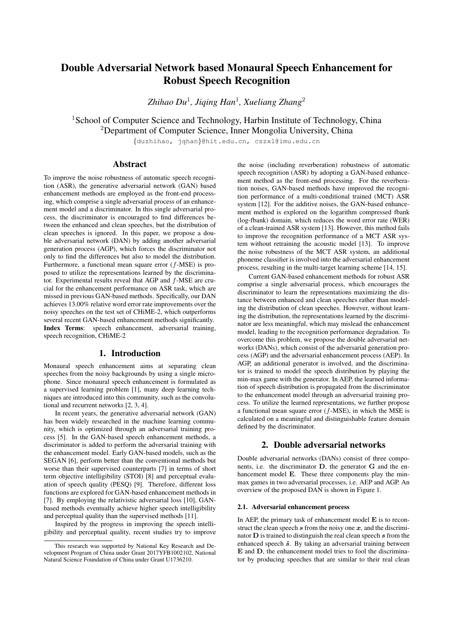# Double Adversarial Network based Monaural Speech Enhancement for Robust Speech Recognition

*Zhihao Du*<sup>1</sup>*, Jiqing Han*<sup>1</sup>*, Xueliang Zhang*<sup>2</sup>

<sup>1</sup>School of Computer Science and Technology, Harbin Institute of Technology, China <sup>2</sup>Department of Computer Science, Inner Mongolia University, China

*{*duzhihao, jqhan*}*@hit.edu.cn, cszxl@imu.edu.cn

# Abstract

To improve the noise robustness of automatic speech recognition (ASR), the generative adversarial network (GAN) based enhancement methods are employed as the front-end processing, which comprise a single adversarial process of an enhancement model and a discriminator. In this single adversarial process, the discriminator is encouraged to find differences between the enhanced and clean speeches, but the distribution of clean speeches is ignored. In this paper, we propose a double adversarial network (DAN) by adding another adversarial generation process (AGP), which forces the discriminator not only to find the differences but also to model the distribution. Furthermore, a functional mean square error (*f*-MSE) is proposed to utilize the representations learned by the discriminator. Experimental results reveal that AGP and *f*-MSE are crucial for the enhancement performance on ASR task, which are missed in previous GAN-based methods. Specifically, our DAN achieves 13.00% relative word error rate improvements over the noisy speeches on the test set of CHiME-2, which outperforms several recent GAN-based enhancement methods significantly. Index Terms: speech enhancement, adversarial training, speech recognition, CHiME-2

#### 1. Introduction

Monaural speech enhancement aims at separating clean speeches from the noisy backgrounds by using a single microphone. Since monaural speech enhancement is formulated as a supervised learning problem [1], many deep learning techniques are introduced into this community, such as the convolutional and recurrent networks [2, 3, 4].

In recent years, the generative adversarial network (GAN) has been widely researched in the machine learning community, which is optimized through an adversarial training process [5]. In the GAN-based speech enhancement methods, a discriminator is added to perform the adversarial training with the enhancement model. Early GAN-based models, such as the SEGAN [6], perform better than the conventional methods but worse than their supervised counterparts [7] in terms of short term objective intelligibility (STOI) [8] and perceptual evaluation of speech quality (PESQ) [9]. Therefore, different loss functions are explored for GAN-based enhancement methods in [7]. By employing the relativistic adversarial loss [10], GANbased methods eventually achieve higher speech intelligibility and perceptual quality than the supervised methods [11].

Inspired by the progress in improving the speech intelligibility and perceptual quality, recent studies try to improve the noise (including reverberation) robustness of automatic speech recognition (ASR) by adopting a GAN-based enhancement method as the front-end processing. For the reverberation noises, GAN-based methods have improved the recognition performance of a multi-conditional trained (MCT) ASR system [12]. For the additive noises, the GAN-based enhancement method is explored on the logarithm compressed fbank (log-fbank) domain, which reduces the word error rate (WER) of a clean-trained ASR system [13]. However, this method fails to improve the recognition performance of a MCT ASR system without retraining the acoustic model [13]. To improve the noise robustness of the MCT ASR system, an additional phoneme classifier is involved into the adversarial enhancement process, resulting in the multi-target learning scheme [14, 15].

Current GAN-based enhancement methods for robust ASR comprise a single adversarial process, which encourages the discriminator to learn the representations maximizing the distance between enhanced and clean speeches rather than modeling the distribution of clean speeches. However, without learning the distribution, the representations learned by the discriminator are less meaningful, which may mislead the enhancement model, leading to the recognition performance degradation. To overcome this problem, we propose the double adversarial networks (DANs), which consist of the adversarial generation process (AGP) and the adversarial enhancement process (AEP). In AGP, an additional generator is involved, and the discriminator is trained to model the speech distribution by playing the min-max game with the generator. In AEP, the learned information of speech distribution is propagated from the discriminator to the enhancement model through an adversarial training process. To utilize the learned representations, we further propose a functional mean square error (*f*-MSE), in which the MSE is calculated on a meaningful and distinguishable feature domain defined by the discriminator.

#### 2. Double adversarial networks

Double adversarial networks (DANs) consist of three components, i.e. the discriminator D, the generator G and the enhancement model E. These three components play the minmax games in two adversarial processes, i.e. AEP and AGP. An overview of the proposed DAN is shown in Figure 1.

#### 2.1. Adversarial enhancement process

In AEP, the primary task of enhancement model  $E$  is to reconstruct the clean speech *s* from the noisy one *x*, and the discriminator D is trained to distinguish the real clean speech *s* from the enhanced speech  $\hat{s}$ . By taking an adversarial training between E and D, the enhancement model tries to fool the discriminator by producing speeches that are similar to their real clean

This research was supported by National Key Research and Development Program of China under Grant 2017YFB1002102, National Natural Science Foundation of China under Grant U1736210.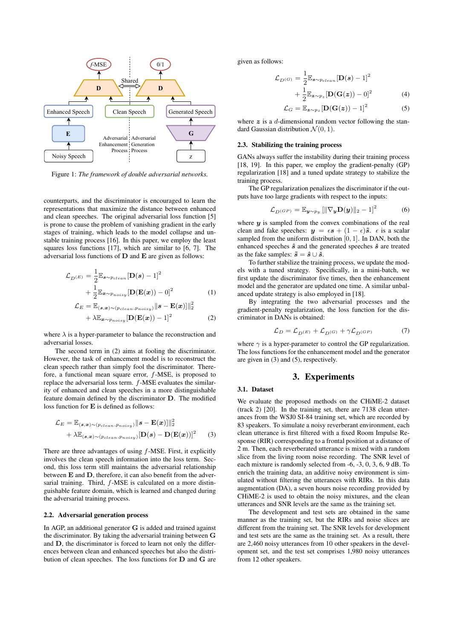

Figure 1: *The framework of double adversarial networks.*

counterparts, and the discriminator is encouraged to learn the representations that maximize the distance between enhanced and clean speeches. The original adversarial loss function [5] is prone to cause the problem of vanishing gradient in the early stages of training, which leads to the model collapse and unstable training process [16]. In this paper, we employ the least squares loss functions [17], which are similar to [6, 7]. The adversarial loss functions of D and E are given as follows:

$$
\mathcal{L}_{D^{(E)}} = \frac{1}{2} \mathbb{E}_{\mathbf{s} \sim p_{clean}} [\mathbf{D}(\mathbf{s}) - 1]^2
$$

$$
+ \frac{1}{2} \mathbb{E}_{\mathbf{x} \sim p_{noisy}} [\mathbf{D}(\mathbf{E}(\mathbf{x})) - 0]^2
$$
(1)

$$
\mathcal{L}_E = \mathbb{E}_{(s,x)\sim(p_{clean}, p_{noisy})} ||s - \mathbf{E}(x)||_2^2
$$
  
+  $\lambda \mathbb{E}_{x\sim p_{noisy}}[\mathbf{D}(\mathbf{E}(x)) - 1]^2$  (2)

where  $\lambda$  is a hyper-parameter to balance the reconstruction and adversarial losses.

The second term in (2) aims at fooling the discriminator. However, the task of enhancement model is to reconstruct the clean speech rather than simply fool the discriminator. Therefore, a functional mean square error, *f*-MSE, is proposed to replace the adversarial loss term. *f*-MSE evaluates the similarity of enhanced and clean speeches in a more distinguishable feature domain defined by the discriminator D. The modified loss function for E is defined as follows:

$$
\mathcal{L}_E = \mathbb{E}_{(\mathbf{s},\mathbf{x}) \sim (p_{clean}, p_{noisy})} ||\mathbf{s} - \mathbf{E}(\mathbf{x})||_2^2 + \lambda \mathbb{E}_{(\mathbf{s},\mathbf{x}) \sim (p_{clean}, p_{noisy})} [\mathbf{D}(\mathbf{s}) - \mathbf{D}(\mathbf{E}(\mathbf{x}))]^2
$$
(3)

There are three advantages of using *f*-MSE. First, it explicitly involves the clean speech information into the loss term. Second, this loss term still maintains the adversarial relationship between E and D, therefore, it can also benefit from the adversarial training. Third, *f*-MSE is calculated on a more distinguishable feature domain, which is learned and changed during the adversarial training process.

#### 2.2. Adversarial generation process

In AGP, an additional generator G is added and trained against the discriminator. By taking the adversarial training between G and D, the discriminator is forced to learn not only the differences between clean and enhanced speeches but also the distribution of clean speeches. The loss functions for D and G are given as follows:

$$
\mathcal{L}_{D^{(G)}} = \frac{1}{2} \mathbb{E}_{s \sim p_{clean}} [\mathbf{D}(s) - 1]^2
$$
  
+ 
$$
\frac{1}{2} \mathbb{E}_{z \sim p_z} [\mathbf{D}(\mathbf{G}(z)) - 0]^2
$$
(4)  

$$
\mathcal{L}_G = \mathbb{E}_{z \sim p_z} [\mathbf{D}(\mathbf{G}(z)) - 1]^2
$$
(5)

where z is a *d*-dimensional random vector following the standard Gaussian distribution  $\mathcal{N}(0, 1)$ .

#### 2.3. Stabilizing the training process

GANs always suffer the instability during their training process [18, 19]. In this paper, we employ the gradient-penalty (GP) regularization [18] and a tuned update strategy to stabilize the training process.

The GP regularization penalizes the discriminator if the outputs have too large gradients with respect to the inputs:

$$
\mathcal{L}_{D^{(GP)}} = \mathbb{E}_{\boldsymbol{y} \sim p_{\boldsymbol{y}}} \left[ \|\nabla_{\boldsymbol{y}} \mathbf{D}(\boldsymbol{y})\|_{2} - 1 \right]^2 \tag{6}
$$

where *y* is sampled from the convex combinations of the real clean and fake speeches:  $y = \epsilon s + (1 - \epsilon)\tilde{s}$ .  $\epsilon$  is a scalar sampled from the uniform distribution [0*,* 1]. In DAN, both the enhanced speeches  $\hat{s}$  and the generated speeches  $\check{s}$  are treated as the fake samples:  $\tilde{s} = \hat{s} \cup \tilde{s}$ .

To further stabilize the training process, we update the models with a tuned strategy. Specifically, in a mini-batch, we first update the discriminator five times, then the enhancement model and the generator are updated one time. A similar unbalanced update strategy is also employed in [18].

By integrating the two adversarial processes and the gradient-penalty regularization, the loss function for the discriminator in DANs is obtained:

$$
\mathcal{L}_D = \mathcal{L}_{D^{(E)}} + \mathcal{L}_{D^{(G)}} + \gamma \mathcal{L}_{D^{(GP)}}
$$
(7)

where  $\gamma$  is a hyper-parameter to control the GP regularization. The loss functions for the enhancement model and the generator are given in (3) and (5), respectively.

# 3. Experiments

# 3.1. Dataset

We evaluate the proposed methods on the CHiME-2 dataset (track 2) [20]. In the training set, there are 7138 clean utterances from the WSJ0 SI-84 training set, which are recorded by 83 speakers. To simulate a noisy reverberant environment, each clean utterance is first filtered with a fixed Room Impulse Response (RIR) corresponding to a frontal position at a distance of 2 m. Then, each reverberated utterance is mixed with a random slice from the living room noise recording. The SNR level of each mixture is randomly selected from -6, -3, 0, 3, 6, 9 dB. To enrich the training data, an additive noisy environment is simulated without filtering the utterances with RIRs. In this data augmentation (DA), a seven hours noise recording provided by CHiME-2 is used to obtain the noisy mixtures, and the clean utterances and SNR levels are the same as the training set.

The development and test sets are obtained in the same manner as the training set, but the RIRs and noise slices are different from the training set. The SNR levels for development and test sets are the same as the training set. As a result, there are 2,460 noisy utterances from 10 other speakers in the development set, and the test set comprises 1,980 noisy utterances from 12 other speakers.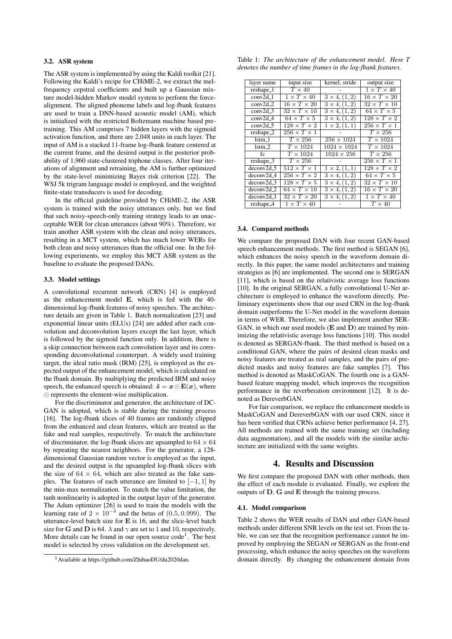### 3.2. ASR system

The ASR system is implemented by using the Kaldi toolkit [21]. Following the Kaldi's recipe for CHiME-2, we extract the melfrequency cepstral coefficients and built up a Gaussian mixture model-hidden Markov model system to perform the forcealignment. The aligned phoneme labels and log-fbank features are used to train a DNN-based acoustic model (AM), which is initialized with the restricted Boltzmann machine based pretraining. This AM comprises 7 hidden layers with the sigmoid activation function, and there are 2,048 units in each layer. The input of AM is a stacked 11-frame log-fbank feature centered at the current frame, and the desired output is the posterior probability of 1,960 state-clustered triphone classes. After four iterations of alignment and retraining, the AM is further optimized by the state-level minimizing Bayes risk criterion [22]. The WSJ 5k trigram language model is employed, and the weighted finite-state transducers is used for decoding.

In the official guideline provided by CHiME-2, the ASR system is trained with the noisy utterances only, but we find that such noisy-speech-only training strategy leads to an unacceptable WER for clean utterances (about 90%). Therefore, we train another ASR system with the clean and noisy utterances, resulting in a MCT system, which has much lower WERs for both clean and noisy utterances than the official one. In the following experiments, we employ this MCT ASR system as the baseline to evaluate the proposed DANs.

#### 3.3. Model settings

A convolutional recurrent network (CRN) [4] is employed as the enhancement model E, which is fed with the 40 dimensional log-fbank features of noisy speeches. The architecture details are given in Table 1. Batch normalization [23] and exponential linear units (ELUs) [24] are added after each convolution and deconvolution layers except the last layer, which is followed by the sigmoid function only. In addition, there is a skip connection between each convolution layer and its corresponding deconvolutional counterpart. A widely used training target, the ideal ratio mask (IRM) [25], is employed as the expected output of the enhancement model, which is calculated on the fbank domain. By multiplying the predicted IRM and noisy speech, the enhanced speech is obtained:  $\hat{s} = x \odot E(x)$ , where  $\odot$  represents the element-wise multiplication.

For the discriminator and generator, the architecture of DC-GAN is adopted, which is stable during the training process [16]. The log-fbank slices of 40 frames are randomly clipped from the enhanced and clean features, which are treated as the fake and real samples, respectively. To match the architecture of discriminator, the log-fbank slices are upsampled to  $64 \times 64$ by repeating the nearest neighbors. For the generator, a 128 dimensional Gaussian random vector is employed as the input, and the desired output is the upsampled log-fbank slices with the size of  $64 \times 64$ , which are also treated as the fake samples. The features of each utterance are limited to  $[-1, 1]$  by the min-max normalization. To match the value limitation, the tanh nonlinearity is adopted in the output layer of the generator. The Adam optimizer [26] is used to train the models with the learning rate of  $2 \times 10^{-4}$  and the betas of (0.5*,* 0*.*999). The utterance-level batch size for  $E$  is 16, and the slice-level batch size for **G** and **D** is 64.  $\lambda$  and  $\gamma$  are set to 1 and 10, respectively. More details can be found in our open source  $code<sup>1</sup>$ . The best model is selected by cross validation on the development set.

Table 1: *The architecture of the enhancement model. Here T denotes the number of time frames in the log-fbank features.*

| layer name          | input size                       | kernel, stride               | output size               |
|---------------------|----------------------------------|------------------------------|---------------------------|
| reshape_1           | $T \times 40$                    |                              | $1 \times T \times 40$    |
| conv2d 1            | $1 \times T \times 40$           | $3 \times 4, (1, 2)$         | $16 \times T \times 20$   |
| conv2d.2            | $16 \times T \times 20$          | $\overline{3\times 4,(1,2)}$ | $32 \times T \times 10$   |
| conv2d <sub>3</sub> | $32 \times T \times 10$          | $3 \times 4, (1, 2)$         | $64 \times T \times 5$    |
| conv2d <sub>4</sub> | $64 \times T \times 5$           | $3 \times 4, (1, 2)$         | $128 \times T \times 2$   |
| $conv2d$ 5          | $128 \times T \times 2$          | $1 \times 2, (1, 1)$         | $256 \times T \times 1$   |
| reshape_2           | $\overline{256\times T\times1}$  |                              | $T \times 256$            |
| $1$ stm $1$         | $T\times 256$                    | $256 \times 1024$            | $T \times 1024$           |
| $1$ stm $2$         | $\overline{T\times 10}24$        | $1024 \times 1024$           | $\overline{T\times 1024}$ |
| fc                  | $T \times 1024$                  | $1024 \times 256$            | $T \times 256$            |
| $reshape_3$         | $T\times 256$                    |                              | $256 \times T \times 1$   |
| deconv2d 5          | $512 \times T \times T$          | $1 \times 2, (1, 1)$         | $128 \times T \times 2$   |
| $deconv2d$ 4        | $\overline{256\times T\times 2}$ | $3 \times 4, (1, 2)$         | $64 \times T \times 5$    |
| $deconv2d_3$        | $128 \times T \times 5$          | $\frac{3 \times 4}{1,2}$     | $32 \times T \times 10$   |
| deconv2d 2          | $64 \times T \times 10$          | $3 \times 4, (1, 2)$         | $16 \times T \times 20$   |
| $deconv2d_1$        | $32 \times T \times 20$          | $3 \times 4, (1, 2)$         | $1 \times T \times 40$    |
| $reshape_4$         | $1 \times T \times 40$           |                              | $\overline{T}\times40$    |

#### 3.4. Compared methods

We compare the proposed DAN with four recent GAN-based speech enhancement methods. The first method is SEGAN [6], which enhances the noisy speech in the waveform domain directly. In this paper, the same model architectures and training strategies as [6] are implemented. The second one is SERGAN [11], which is based on the relativistic average loss functions [10]. In the original SERGAN, a fully convolutional U-Net architecture is employed to enhance the waveform directly. Preliminary experiments show that our used CRN in the log-fbank domain outperforms the U-Net model in the waveform domain in terms of WER. Therefore, we also implement another SER-GAN, in which our used models  $(E \text{ and } D)$  are trained by minimizing the relativistic average loss functions [10]. This model is denoted as SERGAN-fbank. The third method is based on a conditional GAN, where the pairs of desired clean masks and noisy features are treated as real samples, and the pairs of predicted masks and noisy features are fake samples [7]. This method is denoted as MaskCoGAN. The fourth one is a GANbased feature mapping model, which improves the recognition performance in the reverberation environment [12]. It is denoted as DereverbGAN.

For fair comparison, we replace the enhancement models in MaskCoGAN and DereverbGAN with our used CRN, since it has been verified that CRNs achieve better performance [4, 27]. All methods are trained with the same training set (including data augmentation), and all the models with the similar architecture are initialized with the same weights.

# 4. Results and Discussion

We first compare the proposed DAN with other methods, then the effect of each module is evaluated. Finally, we explore the outputs of D, G and E through the training process.

#### 4.1. Model comparison

Table 2 shows the WER results of DAN and other GAN-based methods under different SNR levels on the test set. From the table, we can see that the recognition performance cannot be improved by employing the SEGAN or SERGAN as the front-end processing, which enhance the noisy speeches on the waveform domain directly. By changing the enhancement domain from

<sup>1</sup>Available at https://github.com/ZhihaoDU/du2020dan.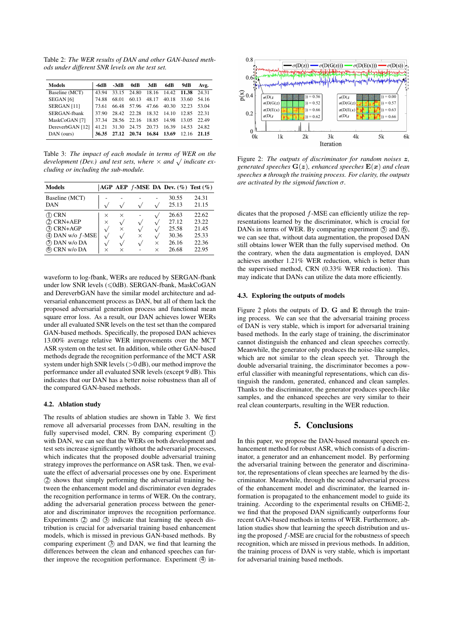Table 2: *The WER results of DAN and other GAN-based methods under different SNR levels on the test set.*

| Models                 | -6dB  | $-3dB$ | 0dB   | 3dB   | 6dB         | 9dB   | Avg.  |
|------------------------|-------|--------|-------|-------|-------------|-------|-------|
| Baseline (MCT)         | 43.94 | 33.15  | 24.80 | 18.16 | 14.42       | 11.38 | 24.31 |
| SEGAN <sub>[6]</sub>   | 74.88 | 68.01  | 60.13 | 48.17 | 40.18       | 33.60 | 54.16 |
| SERGAN <sub>[11]</sub> | 73.61 | 66.48  | 57.96 | 47.66 | 40.30 32.23 |       | 53.04 |
| SERGAN-fbank           | 37.90 | 28.42  | 22.28 | 18.32 | 14.10       | 12.85 | 22.31 |
| MaskCoGAN [7]          | 37 34 | 28.56  | 22.16 | 18.85 | 14.98       | 13.05 | 22.49 |
| DereverbGAN [12]       | 41.21 | 31.30  | 24.75 | 20.73 | 16.39       | 14.53 | 24.82 |
| DAN (ours)             | 36.35 | 27.12  | 20.74 | 16.84 | 13.69       | 12.16 | 21.15 |

Table 3: *The impact of each module in terms of WER on the development (Dev.) and test sets, where*  $\times$  *and*  $\sqrt{}$  *indicate excluding or including the sub-module.*

| <b>Models</b>                                                                                       |                                  |                                                     |                       |                                   | AGP AEP $f$ -MSE DA Dev. $(\%)$ Test $(\%)$        |                                                    |
|-----------------------------------------------------------------------------------------------------|----------------------------------|-----------------------------------------------------|-----------------------|-----------------------------------|----------------------------------------------------|----------------------------------------------------|
| Baseline (MCT)<br>DAN                                                                               |                                  | $\sqrt{ }$                                          | $\mathcal{N}$         |                                   | 30.55<br>25.13                                     | 24.31<br>21.15                                     |
| ⁄T) CRN<br>(2) CRN+AEP<br>(3) CRN+AGP<br>$(4)$ DAN w/o $f$ -MSE<br>(5) DAN w/o DA<br>(6) CRN w/o DA | $\times$<br>$\times$<br>$\times$ | $\times$<br>$\sqrt{}$<br>$\times$<br>$\sqrt{}$<br>× | $\sqrt{}$<br>$\times$ | $\sqrt{}$<br>$\times$<br>$\times$ | 26.63<br>27.12<br>25.58<br>30.36<br>26.16<br>26.68 | 22.62<br>23.22<br>21.45<br>25.33<br>22.36<br>22.95 |

waveform to log-fbank, WERs are reduced by SERGAN-fbank under low SNR levels ( $\leq$ 0dB). SERGAN-fbank, MaskCoGAN and DereverbGAN have the similar model architecture and adversarial enhancement process as DAN, but all of them lack the proposed adversarial generation process and functional mean square error loss. As a result, our DAN achieves lower WERs under all evaluated SNR levels on the test set than the compared GAN-based methods. Specifically, the proposed DAN achieves 13.00% average relative WER improvements over the MCT ASR system on the test set. In addition, while other GAN-based methods degrade the recognition performance of the MCT ASR system under high SNR levels (*>*0 dB), our method improve the performance under all evaluated SNR levels (except 9 dB). This indicates that our DAN has a better noise robustness than all of the compared GAN-based methods.

#### 4.2. Ablation study

The results of ablation studies are shown in Table 3. We first remove all adversarial processes from DAN, resulting in the fully supervised model, CRN. By comparing experiment (I) with DAN, we can see that the WERs on both development and test sets increase significantly without the adversarial processes, which indicates that the proposed double adversarial training strategy improves the performance on ASR task. Then, we evaluate the effect of adversarial processes one by one. Experiment 2 shows that simply performing the adversarial training between the enhancement model and discriminator even degrades the recognition performance in terms of WER. On the contrary, adding the adversarial generation process between the generator and discriminator improves the recognition performance. Experiments  $(2)$  and  $(3)$  indicate that learning the speech distribution is crucial for adversarial training based enhancement models, which is missed in previous GAN-based methods. By comparing experiment  $(3)$  and DAN, we find that learning the differences between the clean and enhanced speeches can further improve the recognition performance. Experiment  $(4)$  in-



Figure 2: *The outputs of discriminator for random noises z, generated speeches* G(*z*)*, enhanced speeches* E(*x*) *and clean speeches s through the training process. For clarity, the outputs are activated by the sigmoid function*  $\sigma$ *.* 

dicates that the proposed *f*-MSE can efficiently utilize the representations learned by the discriminator, which is crucial for DANs in terms of WER. By comparing experiment  $(5)$  and  $(6)$ , we can see that, without data augmentation, the proposed DAN still obtains lower WER than the fully supervised method. On the contrary, when the data augmentation is employed, DAN achieves another 1.21% WER reduction, which is better than the supervised method, CRN (0.33% WER reduction). This may indicate that DANs can utilize the data more efficiently.

#### 4.3. Exploring the outputs of models

Figure 2 plots the outputs of  $D$ ,  $G$  and  $E$  through the training process. We can see that the adversarial training process of DAN is very stable, which is import for adversarial training based methods. In the early stage of training, the discriminator cannot distinguish the enhanced and clean speeches correctly. Meanwhile, the generator only produces the noise-like samples, which are not similar to the clean speech yet. Through the double adversarial training, the discriminator becomes a powerful classifier with meaningful representations, which can distinguish the random, generated, enhanced and clean samples. Thanks to the discriminator, the generator produces speech-like samples, and the enhanced speeches are very similar to their real clean counterparts, resulting in the WER reduction.

#### 5. Conclusions

In this paper, we propose the DAN-based monaural speech enhancement method for robust ASR, which consists of a discriminator, a generator and an enhancement model. By performing the adversarial training between the generator and discriminator, the representations of clean speeches are learned by the discriminator. Meanwhile, through the second adversarial process of the enhancement model and discriminator, the learned information is propagated to the enhancement model to guide its training. According to the experimental results on CHiME-2, we find that the proposed DAN significantly outperforms four recent GAN-based methods in terms of WER. Furthermore, ablation studies show that learning the speech distribution and using the proposed *f*-MSE are crucial for the robustness of speech recognition, which are missed in previous methods. In addition, the training process of DAN is very stable, which is important for adversarial training based methods.